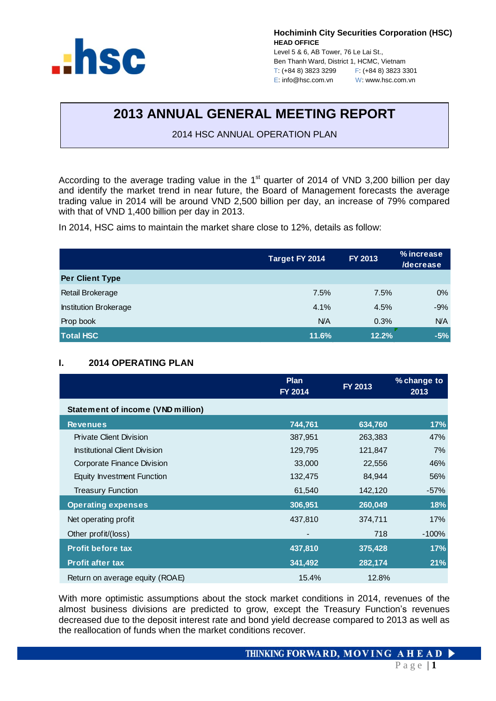

**Hochiminh City Securities Corporation (HSC) HEAD OFFICE**

Level 5 & 6, AB Tower, 76 Le Lai St., Ben Thanh Ward, District 1, HCMC, Vietnam T: (+84 8) 3823 3299 F: (+84 8) 3823 3301 E: info@hsc.com.vn W: www.hsc.com.vn

# **2013 ANNUAL GENERAL MEETING REPORT**

2014 HSC ANNUAL OPERATION PLAN

According to the average trading value in the  $1<sup>st</sup>$  quarter of 2014 of VND 3,200 billion per day and identify the market trend in near future, the Board of Management forecasts the average trading value in 2014 will be around VND 2,500 billion per day, an increase of 79% compared with that of VND 1,400 billion per day in 2013.

In 2014, HSC aims to maintain the market share close to 12%, details as follow:

|                              | FY 2013<br>Target FY 2014 |       | % increase<br><b>/decrease</b> |  |
|------------------------------|---------------------------|-------|--------------------------------|--|
| <b>Per Client Type</b>       |                           |       |                                |  |
| Retail Brokerage             | 7.5%                      | 7.5%  | $0\%$                          |  |
| <b>Institution Brokerage</b> | 4.1%                      | 4.5%  | $-9%$                          |  |
| Prop book                    | <b>N/A</b>                | 0.3%  | <b>N/A</b>                     |  |
| <b>Total HSC</b>             | 11.6%                     | 12.2% | $-5%$                          |  |

# **I. 2014 OPERATING PLAN**

|                                          | <b>Plan</b><br>FY 2014 | FY 2013 | % change to<br>2013 |  |
|------------------------------------------|------------------------|---------|---------------------|--|
| <b>Statement of income (VND million)</b> |                        |         |                     |  |
| <b>Revenues</b>                          | 744,761                | 634,760 | 17%                 |  |
| Private Client Division                  | 387,951                | 263,383 | 47%                 |  |
| <b>Institutional Client Division</b>     | 129,795                | 121,847 | 7%                  |  |
| Corporate Finance Division               | 33,000                 | 22,556  | 46%                 |  |
| Equity Investment Function               | 132,475                | 84,944  | 56%                 |  |
| <b>Treasury Function</b>                 | 61,540                 | 142,120 | $-57%$              |  |
| <b>Operating expenses</b>                | 306,951                | 260,049 | 18%                 |  |
| Net operating profit                     | 437,810                | 374,711 | 17%                 |  |
| Other profit/(loss)                      |                        | 718     | $-100%$             |  |
| <b>Profit before tax</b>                 | 437,810                | 375,428 | 17%                 |  |
| <b>Profit after tax</b>                  | 341,492                | 282,174 | 21%                 |  |
| Return on average equity (ROAE)          | 15.4%                  | 12.8%   |                     |  |

With more optimistic assumptions about the stock market conditions in 2014, revenues of the almost business divisions are predicted to grow, except the Treasury Function's revenues decreased due to the deposit interest rate and bond yield decrease compared to 2013 as well as the reallocation of funds when the market conditions recover.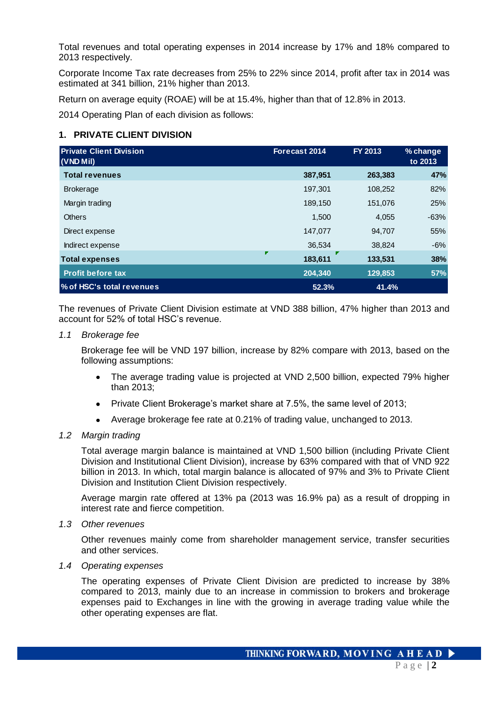Total revenues and total operating expenses in 2014 increase by 17% and 18% compared to 2013 respectively.

Corporate Income Tax rate decreases from 25% to 22% since 2014, profit after tax in 2014 was estimated at 341 billion, 21% higher than 2013.

Return on average equity (ROAE) will be at 15.4%, higher than that of 12.8% in 2013.

2014 Operating Plan of each division as follows:

# **1. PRIVATE CLIENT DIVISION**

| <b>Private Client Division</b><br>(VND Mil) | Forecast 2014 | FY 2013 | % change<br>to 2013 |
|---------------------------------------------|---------------|---------|---------------------|
| <b>Total revenues</b>                       | 387,951       | 263,383 | 47%                 |
| <b>Brokerage</b>                            | 197,301       | 108,252 | 82%                 |
| Margin trading                              | 189,150       | 151,076 | 25%                 |
| <b>Others</b>                               | 1,500         | 4,055   | $-63%$              |
| Direct expense                              | 147,077       | 94,707  | 55%                 |
| Indirect expense                            | 36,534        | 38,824  | $-6%$               |
| <b>Total expenses</b>                       | 183,611       | 133,531 | 38%                 |
| <b>Profit before tax</b>                    | 204,340       | 129,853 | 57%                 |
| % of HSC's total revenues                   | 52.3%         | 41.4%   |                     |

The revenues of Private Client Division estimate at VND 388 billion, 47% higher than 2013 and account for 52% of total HSC's revenue.

#### *1.1 Brokerage fee*

Brokerage fee will be VND 197 billion, increase by 82% compare with 2013, based on the following assumptions:

- The average trading value is projected at VND 2,500 billion, expected 79% higher  $\bullet$ than 2013;
- Private Client Brokerage's market share at 7.5%, the same level of 2013;
- Average brokerage fee rate at 0.21% of trading value, unchanged to 2013.

### *1.2 Margin trading*

Total average margin balance is maintained at VND 1,500 billion (including Private Client Division and Institutional Client Division), increase by 63% compared with that of VND 922 billion in 2013. In which, total margin balance is allocated of 97% and 3% to Private Client Division and Institution Client Division respectively.

Average margin rate offered at 13% pa (2013 was 16.9% pa) as a result of dropping in interest rate and fierce competition.

#### *1.3 Other revenues*

Other revenues mainly come from shareholder management service, transfer securities and other services.

#### *1.4 Operating expenses*

The operating expenses of Private Client Division are predicted to increase by 38% compared to 2013, mainly due to an increase in commission to brokers and brokerage expenses paid to Exchanges in line with the growing in average trading value while the other operating expenses are flat.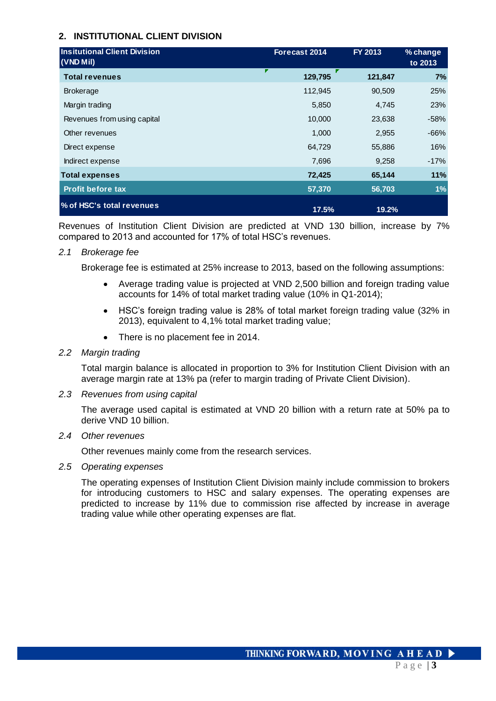# **2. INSTITUTIONAL CLIENT DIVISION**

| <b>Insitutional Client Division</b><br>$(VND$ Mil) | Forecast 2014 | FY 2013 | % change<br>to 2013 |
|----------------------------------------------------|---------------|---------|---------------------|
| <b>Total revenues</b>                              | 129,795       | 121,847 | 7%                  |
| <b>Brokerage</b>                                   | 112,945       | 90,509  | 25%                 |
| Margin trading                                     | 5,850         | 4,745   | 23%                 |
| Revenues from using capital                        | 10,000        | 23,638  | $-58%$              |
| Other revenues                                     | 1,000         | 2,955   | $-66%$              |
| Direct expense                                     | 64,729        | 55,886  | 16%                 |
| Indirect expense                                   | 7,696         | 9,258   | $-17%$              |
| <b>Total expenses</b>                              | 72,425        | 65,144  | 11%                 |
| <b>Profit before tax</b>                           | 57,370        | 56,703  | 1%                  |
| % of HSC's total revenues                          | 17.5%         | 19.2%   |                     |

Revenues of Institution Client Division are predicted at VND 130 billion, increase by 7% compared to 2013 and accounted for 17% of total HSC's revenues.

# *2.1 Brokerage fee*

Brokerage fee is estimated at 25% increase to 2013, based on the following assumptions:

- Average trading value is projected at VND 2,500 billion and foreign trading value  $\bullet$ accounts for 14% of total market trading value (10% in Q1-2014);
- HSC's foreign trading value is 28% of total market foreign trading value (32% in 2013), equivalent to 4,1% total market trading value;
- There is no placement fee in 2014.

# *2.2 Margin trading*

Total margin balance is allocated in proportion to 3% for Institution Client Division with an average margin rate at 13% pa (refer to margin trading of Private Client Division).

# *2.3 Revenues from using capital*

The average used capital is estimated at VND 20 billion with a return rate at 50% pa to derive VND 10 billion.

# *2.4 Other revenues*

Other revenues mainly come from the research services.

# *2.5 Operating expenses*

The operating expenses of Institution Client Division mainly include commission to brokers for introducing customers to HSC and salary expenses. The operating expenses are predicted to increase by 11% due to commission rise affected by increase in average trading value while other operating expenses are flat.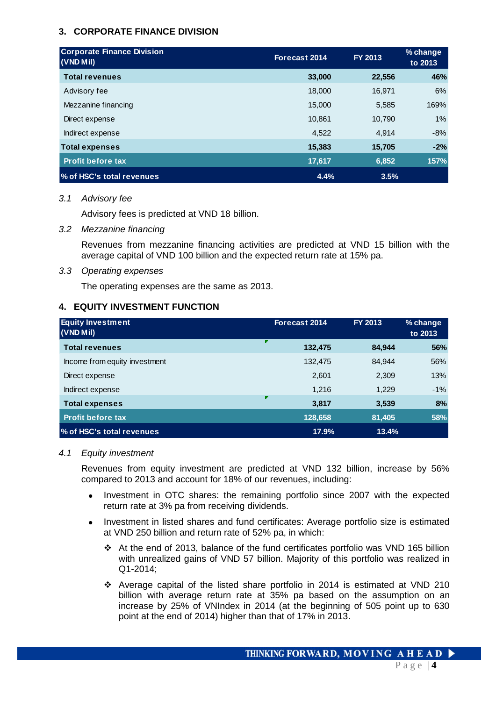# **3. CORPORATE FINANCE DIVISION**

| <b>Corporate Finance Division</b><br>Forecast 2014<br>(VND Mil) |        | <b>FY 2013</b> | % change<br>to 2013 |
|-----------------------------------------------------------------|--------|----------------|---------------------|
| <b>Total revenues</b>                                           | 33,000 | 22,556         | 46%                 |
| Advisory fee                                                    | 18,000 | 16,971         | 6%                  |
| Mezzanine financing                                             | 15,000 | 5,585          | 169%                |
| Direct expense                                                  | 10.861 | 10,790         | 1%                  |
| Indirect expense                                                | 4,522  | 4,914          | $-8%$               |
| <b>Total expenses</b>                                           | 15,383 | 15,705         | $-2%$               |
| <b>Profit before tax</b>                                        | 17,617 | 6,852          | 157%                |
| % of HSC's total revenues                                       | 4.4%   | 3.5%           |                     |

#### *3.1 Advisory fee*

Advisory fees is predicted at VND 18 billion.

*3.2 Mezzanine financing*

Revenues from mezzanine financing activities are predicted at VND 15 billion with the average capital of VND 100 billion and the expected return rate at 15% pa.

#### *3.3 Operating expenses*

The operating expenses are the same as 2013.

# **4. EQUITY INVESTMENT FUNCTION**

| <b>Equity Investment</b><br>(VND Mil) | Forecast 2014 | FY 2013 | % change<br>to 2013 |
|---------------------------------------|---------------|---------|---------------------|
| <b>Total revenues</b>                 | ₽<br>132,475  | 84.944  | 56%                 |
| Income from equity investment         | 132,475       | 84,944  | 56%                 |
| Direct expense                        | 2,601         | 2,309   | 13%                 |
| Indirect expense                      | 1,216         | 1,229   | $-1%$               |
| <b>Total expenses</b>                 | г<br>3,817    | 3,539   | 8%                  |
| <b>Profit before tax</b>              | 128,658       | 81,405  | 58%                 |
| % of HSC's total revenues             | 17.9%         | 13.4%   |                     |

#### *4.1 Equity investment*

Revenues from equity investment are predicted at VND 132 billion, increase by 56% compared to 2013 and account for 18% of our revenues, including:

- Investment in OTC shares: the remaining portfolio since 2007 with the expected  $\bullet$ return rate at 3% pa from receiving dividends.
- $\bullet$ Investment in listed shares and fund certificates: Average portfolio size is estimated at VND 250 billion and return rate of 52% pa, in which:
	- At the end of 2013, balance of the fund certificates portfolio was VND 165 billion with unrealized gains of VND 57 billion. Majority of this portfolio was realized in Q1-2014;
	- Average capital of the listed share portfolio in 2014 is estimated at VND 210 billion with average return rate at 35% pa based on the assumption on an increase by 25% of VNIndex in 2014 (at the beginning of 505 point up to 630 point at the end of 2014) higher than that of 17% in 2013.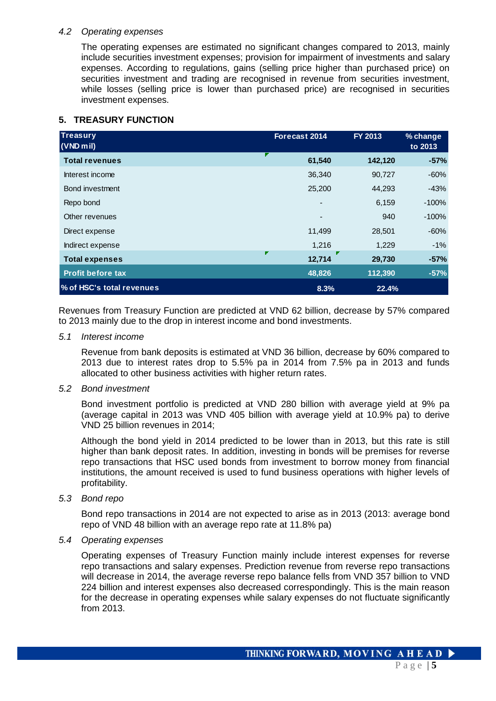#### *4.2 Operating expenses*

The operating expenses are estimated no significant changes compared to 2013, mainly include securities investment expenses; provision for impairment of investments and salary expenses. According to regulations, gains (selling price higher than purchased price) on securities investment and trading are recognised in revenue from securities investment, while losses (selling price is lower than purchased price) are recognised in securities investment expenses.

# **5. TREASURY FUNCTION**

| <b>Treasury</b><br>$(VND$ mil) | Forecast 2014  | FY 2013 | % change<br>to 2013 |
|--------------------------------|----------------|---------|---------------------|
| <b>Total revenues</b>          | 61,540         | 142,120 | $-57%$              |
| Interest income                | 36,340         | 90,727  | $-60%$              |
| Bond investment                | 25,200         | 44,293  | $-43%$              |
| Repo bond                      | $\blacksquare$ | 6,159   | $-100%$             |
| Other revenues                 |                | 940     | $-100%$             |
| Direct expense                 | 11,499         | 28,501  | $-60%$              |
| Indirect expense               | 1,216          | 1,229   | $-1\%$              |
| <b>Total expenses</b>          | 12,714         | 29,730  | $-57%$              |
| <b>Profit before tax</b>       | 48,826         | 112,390 | $-57%$              |
| % of HSC's total revenues      | 8.3%           | 22.4%   |                     |

Revenues from Treasury Function are predicted at VND 62 billion, decrease by 57% compared to 2013 mainly due to the drop in interest income and bond investments.

#### *5.1 Interest income*

Revenue from bank deposits is estimated at VND 36 billion, decrease by 60% compared to 2013 due to interest rates drop to 5.5% pa in 2014 from 7.5% pa in 2013 and funds allocated to other business activities with higher return rates.

#### *5.2 Bond investment*

Bond investment portfolio is predicted at VND 280 billion with average yield at 9% pa (average capital in 2013 was VND 405 billion with average yield at 10.9% pa) to derive VND 25 billion revenues in 2014;

Although the bond yield in 2014 predicted to be lower than in 2013, but this rate is still higher than bank deposit rates. In addition, investing in bonds will be premises for reverse repo transactions that HSC used bonds from investment to borrow money from financial institutions, the amount received is used to fund business operations with higher levels of profitability.

#### *5.3 Bond repo*

Bond repo transactions in 2014 are not expected to arise as in 2013 (2013: average bond repo of VND 48 billion with an average repo rate at 11.8% pa)

#### *5.4 Operating expenses*

Operating expenses of Treasury Function mainly include interest expenses for reverse repo transactions and salary expenses. Prediction revenue from reverse repo transactions will decrease in 2014, the average reverse repo balance fells from VND 357 billion to VND 224 billion and interest expenses also decreased correspondingly. This is the main reason for the decrease in operating expenses while salary expenses do not fluctuate significantly from 2013.